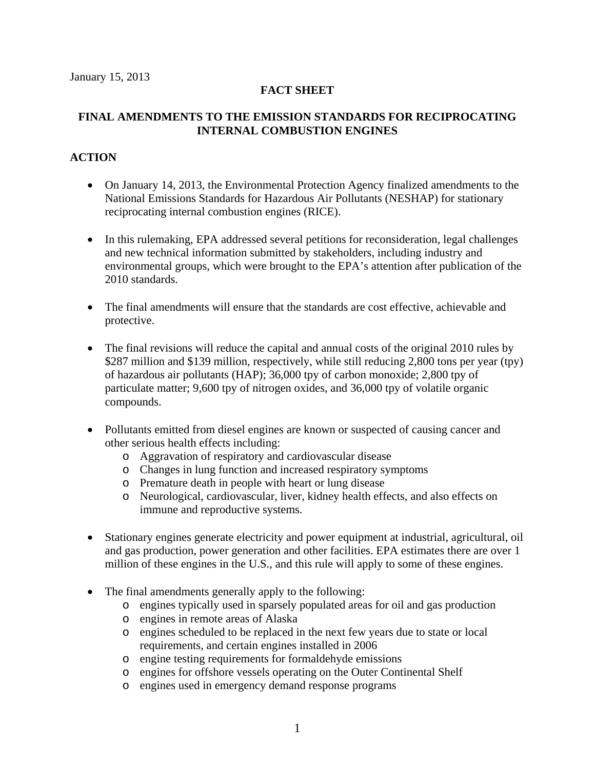# **FACT SHEET**

# **FINAL AMENDMENTS TO THE EMISSION STANDARDS FOR RECIPROCATING INTERNAL COMBUSTION ENGINES**

# **ACTION**

- On January 14, 2013, the Environmental Protection Agency finalized amendments to the National Emissions Standards for Hazardous Air Pollutants (NESHAP) for stationary reciprocating internal combustion engines (RICE).
- In this rulemaking, EPA addressed several petitions for reconsideration, legal challenges and new technical information submitted by stakeholders, including industry and environmental groups, which were brought to the EPA's attention after publication of the 2010 standards.
- The final amendments will ensure that the standards are cost effective, achievable and protective.
- The final revisions will reduce the capital and annual costs of the original 2010 rules by \$287 million and \$139 million, respectively, while still reducing 2,800 tons per year (tpy) of hazardous air pollutants (HAP); 36,000 tpy of carbon monoxide; 2,800 tpy of particulate matter; 9,600 tpy of nitrogen oxides, and 36,000 tpy of volatile organic compounds.
- Pollutants emitted from diesel engines are known or suspected of causing cancer and other serious health effects including:
	- o Aggravation of respiratory and cardiovascular disease
	- o Changes in lung function and increased respiratory symptoms
	- o Premature death in people with heart or lung disease
	- o Neurological, cardiovascular, liver, kidney health effects, and also effects on immune and reproductive systems.
- Stationary engines generate electricity and power equipment at industrial, agricultural, oil and gas production, power generation and other facilities. EPA estimates there are over 1 million of these engines in the U.S., and this rule will apply to some of these engines.
- The final amendments generally apply to the following:
	- o engines typically used in sparsely populated areas for oil and gas production
	- o engines in remote areas of Alaska
	- o engines scheduled to be replaced in the next few years due to state or local requirements, and certain engines installed in 2006
	- o engine testing requirements for formaldehyde emissions
	- o engines for offshore vessels operating on the Outer Continental Shelf
	- o engines used in emergency demand response programs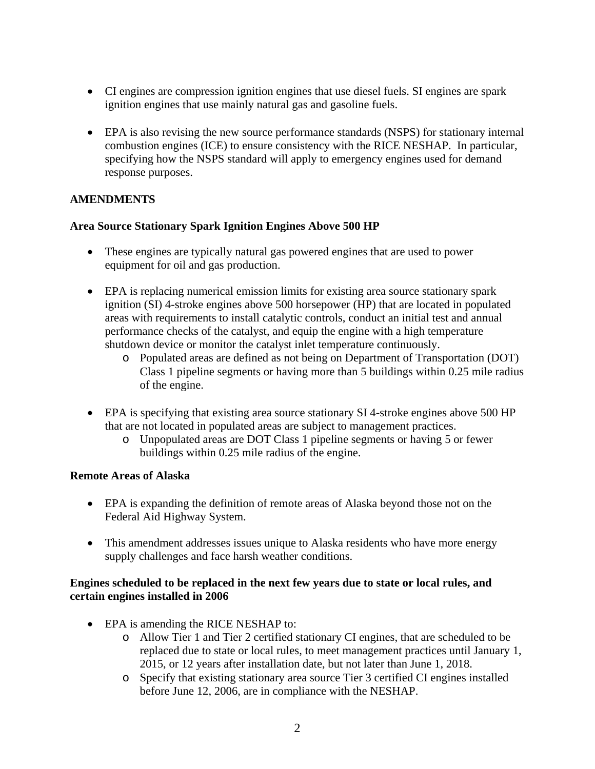- CI engines are compression ignition engines that use diesel fuels. SI engines are spark ignition engines that use mainly natural gas and gasoline fuels.
- EPA is also revising the new source performance standards (NSPS) for stationary internal combustion engines (ICE) to ensure consistency with the RICE NESHAP. In particular, specifying how the NSPS standard will apply to emergency engines used for demand response purposes.

# **AMENDMENTS**

# **Area Source Stationary Spark Ignition Engines Above 500 HP**

- These engines are typically natural gas powered engines that are used to power equipment for oil and gas production.
- EPA is replacing numerical emission limits for existing area source stationary spark ignition (SI) 4-stroke engines above 500 horsepower (HP) that are located in populated areas with requirements to install catalytic controls, conduct an initial test and annual performance checks of the catalyst, and equip the engine with a high temperature shutdown device or monitor the catalyst inlet temperature continuously.
	- o Populated areas are defined as not being on Department of Transportation (DOT) Class 1 pipeline segments or having more than 5 buildings within 0.25 mile radius of the engine.
- EPA is specifying that existing area source stationary SI 4-stroke engines above 500 HP that are not located in populated areas are subject to management practices.
	- o Unpopulated areas are DOT Class 1 pipeline segments or having 5 or fewer buildings within 0.25 mile radius of the engine.

# **Remote Areas of Alaska**

- EPA is expanding the definition of remote areas of Alaska beyond those not on the Federal Aid Highway System.
- This amendment addresses issues unique to Alaska residents who have more energy supply challenges and face harsh weather conditions.

#### **Engines scheduled to be replaced in the next few years due to state or local rules, and certain engines installed in 2006**

- EPA is amending the RICE NESHAP to:
	- o Allow Tier 1 and Tier 2 certified stationary CI engines, that are scheduled to be replaced due to state or local rules, to meet management practices until January 1, 2015, or 12 years after installation date, but not later than June 1, 2018.
	- o Specify that existing stationary area source Tier 3 certified CI engines installed before June 12, 2006, are in compliance with the NESHAP.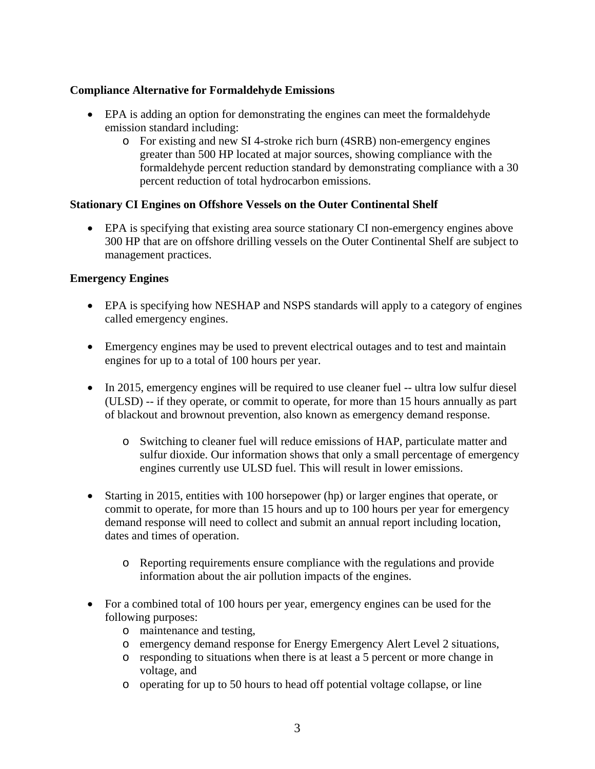### **Compliance Alternative for Formaldehyde Emissions**

- EPA is adding an option for demonstrating the engines can meet the formaldehyde emission standard including:
	- o For existing and new SI 4-stroke rich burn (4SRB) non-emergency engines greater than 500 HP located at major sources, showing compliance with the formaldehyde percent reduction standard by demonstrating compliance with a 30 percent reduction of total hydrocarbon emissions.

#### **Stationary CI Engines on Offshore Vessels on the Outer Continental Shelf**

 EPA is specifying that existing area source stationary CI non-emergency engines above 300 HP that are on offshore drilling vessels on the Outer Continental Shelf are subject to management practices.

#### **Emergency Engines**

- EPA is specifying how NESHAP and NSPS standards will apply to a category of engines called emergency engines.
- Emergency engines may be used to prevent electrical outages and to test and maintain engines for up to a total of 100 hours per year.
- In 2015, emergency engines will be required to use cleaner fuel -- ultra low sulfur diesel (ULSD) -- if they operate, or commit to operate, for more than 15 hours annually as part of blackout and brownout prevention, also known as emergency demand response.
	- o Switching to cleaner fuel will reduce emissions of HAP, particulate matter and sulfur dioxide. Our information shows that only a small percentage of emergency engines currently use ULSD fuel. This will result in lower emissions.
- Starting in 2015, entities with 100 horsepower (hp) or larger engines that operate, or commit to operate, for more than 15 hours and up to 100 hours per year for emergency demand response will need to collect and submit an annual report including location, dates and times of operation.
	- o Reporting requirements ensure compliance with the regulations and provide information about the air pollution impacts of the engines.
- For a combined total of 100 hours per year, emergency engines can be used for the following purposes:
	- o maintenance and testing,
	- o emergency demand response for Energy Emergency Alert Level 2 situations,
	- o responding to situations when there is at least a 5 percent or more change in voltage, and
	- o operating for up to 50 hours to head off potential voltage collapse, or line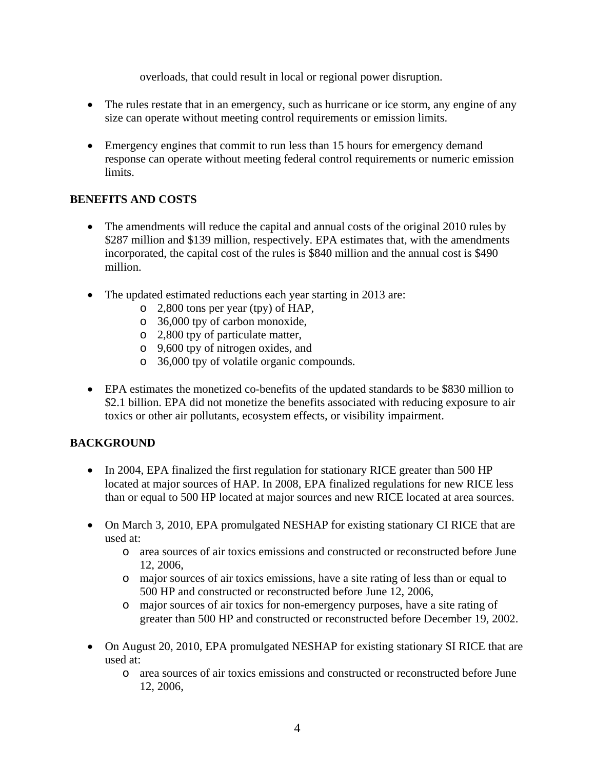overloads, that could result in local or regional power disruption.

- The rules restate that in an emergency, such as hurricane or ice storm, any engine of any size can operate without meeting control requirements or emission limits.
- Emergency engines that commit to run less than 15 hours for emergency demand response can operate without meeting federal control requirements or numeric emission limits.

# **BENEFITS AND COSTS**

- The amendments will reduce the capital and annual costs of the original 2010 rules by \$287 million and \$139 million, respectively. EPA estimates that, with the amendments incorporated, the capital cost of the rules is \$840 million and the annual cost is \$490 million.
- The updated estimated reductions each year starting in 2013 are:
	- o 2,800 tons per year (tpy) of HAP,
	- o 36,000 tpy of carbon monoxide,
	- o 2,800 tpy of particulate matter,
	- o 9,600 tpy of nitrogen oxides, and
	- o 36,000 tpy of volatile organic compounds.
- EPA estimates the monetized co-benefits of the updated standards to be \$830 million to \$2.1 billion. EPA did not monetize the benefits associated with reducing exposure to air toxics or other air pollutants, ecosystem effects, or visibility impairment.

# **BACKGROUND**

- In 2004, EPA finalized the first regulation for stationary RICE greater than 500 HP located at major sources of HAP. In 2008, EPA finalized regulations for new RICE less than or equal to 500 HP located at major sources and new RICE located at area sources.
- On March 3, 2010, EPA promulgated NESHAP for existing stationary CI RICE that are used at:
	- o area sources of air toxics emissions and constructed or reconstructed before June 12, 2006,
	- o major sources of air toxics emissions, have a site rating of less than or equal to 500 HP and constructed or reconstructed before June 12, 2006,
	- o major sources of air toxics for non-emergency purposes, have a site rating of greater than 500 HP and constructed or reconstructed before December 19, 2002.
- On August 20, 2010, EPA promulgated NESHAP for existing stationary SI RICE that are used at:
	- o area sources of air toxics emissions and constructed or reconstructed before June 12, 2006,